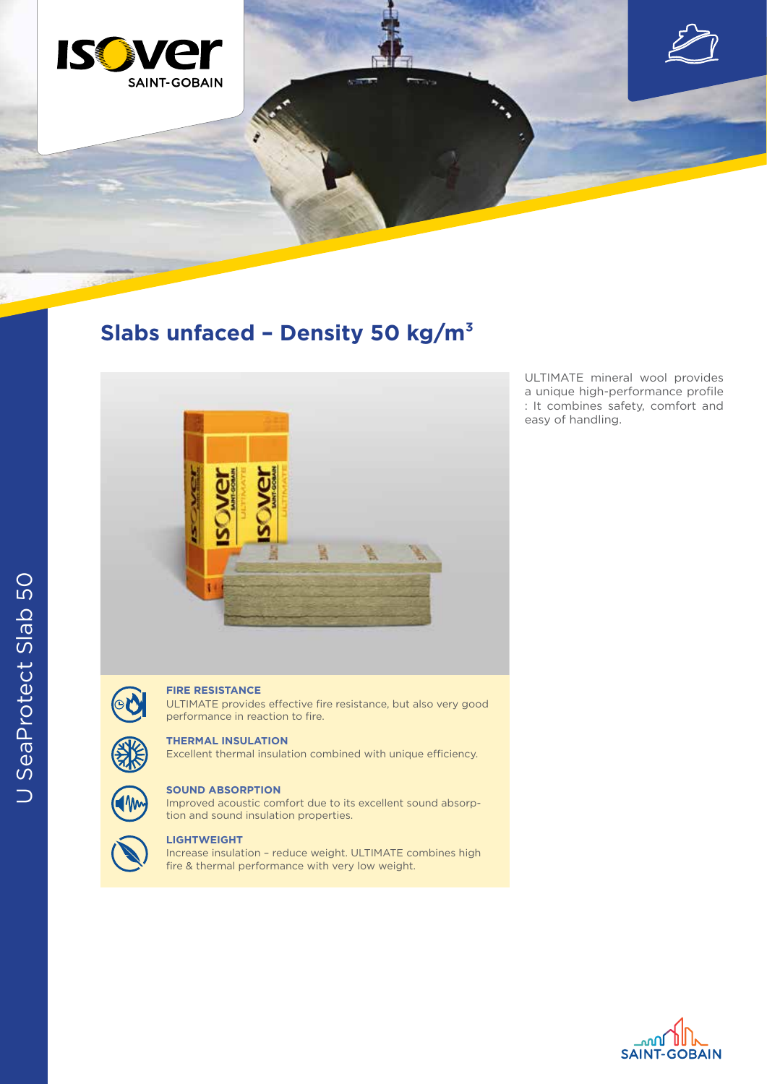

# **Slabs unfaced – Density 50 kg/m³**



OU

## **FIRE RESISTANCE**

ULTIMATE provides effective fire resistance, but also very good performance in reaction to fire.

#### **THERMAL INSULATION**

Excellent thermal insulation combined with unique efficiency.



#### **SOUND ABSORPTION**

Improved acoustic comfort due to its excellent sound absorption and sound insulation properties.



## **LIGHTWEIGHT**

Increase insulation – reduce weight. ULTIMATE combines high fire & thermal performance with very low weight.

ULTIMATE mineral wool provides a unique high-performance profile : It combines safety, comfort and easy of handling.